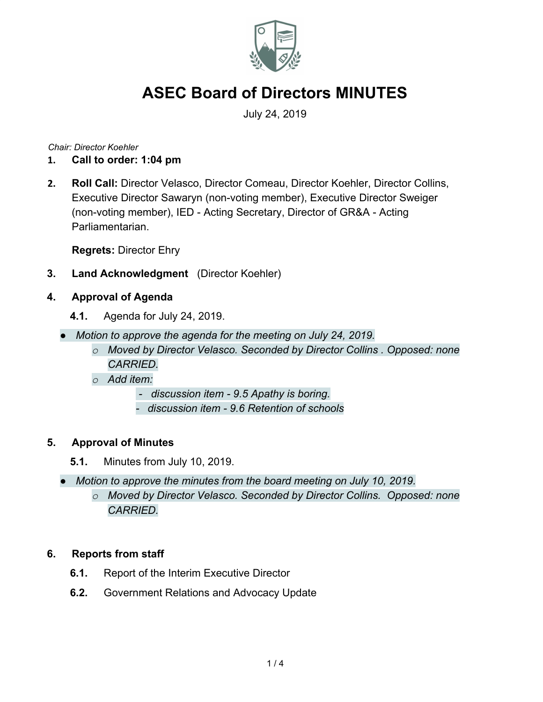

July 24, 2019

*Chair: Director Koehler*

- **1. Call to order: 1:04 pm**
- **2. Roll Call:** Director Velasco, Director Comeau, Director Koehler, Director Collins, Executive Director Sawaryn (non-voting member), Executive Director Sweiger (non-voting member), IED - Acting Secretary, Director of GR&A - Acting Parliamentarian.

**Regrets:** Director Ehry

- **3. Land Acknowledgment** (Director Koehler)
- **4. Approval of Agenda**
	- **4.1.** Agenda for July 24, 2019.
	- *● Motion to approve the agenda for the meeting on July 24, 2019.*
		- *o Moved by Director Velasco. Seconded by Director Collins . Opposed: none CARRIED.*
		- *o Add item:*
			- *discussion item 9.5 Apathy is boring.*
			- *- discussion item 9.6 Retention of schools*

#### **5. Approval of Minutes**

- **5.1.** Minutes from July 10, 2019.
- *● Motion to approve the minutes from the board meeting on July 10, 2019.*
	- *o Moved by Director Velasco. Seconded by Director Collins. Opposed: none CARRIED.*

#### **6. Reports from staff**

- **6.1.** Report of the Interim Executive Director
- **6.2.** Government Relations and Advocacy Update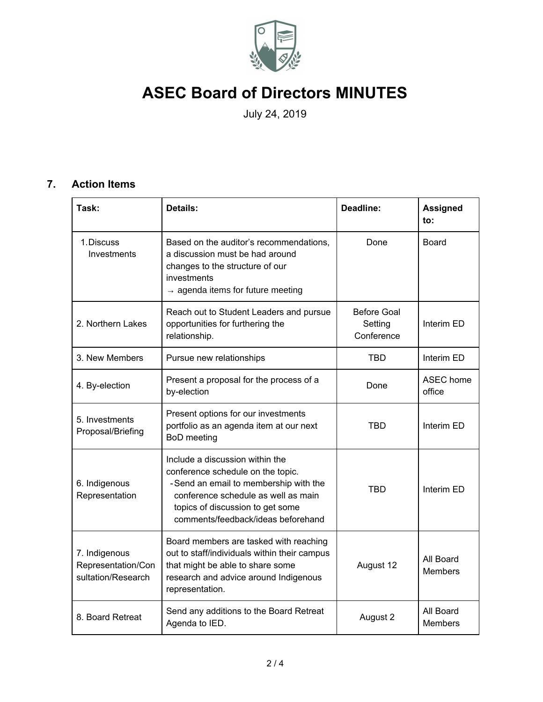

July 24, 2019

### **7. Action Items**

| Task:                                                     | <b>Details:</b>                                                                                                                                                                                                                | Deadline:                                   | <b>Assigned</b><br>to:      |
|-----------------------------------------------------------|--------------------------------------------------------------------------------------------------------------------------------------------------------------------------------------------------------------------------------|---------------------------------------------|-----------------------------|
| 1. Discuss<br>Investments                                 | Based on the auditor's recommendations,<br>a discussion must be had around<br>changes to the structure of our<br>investments<br>$\rightarrow$ agenda items for future meeting                                                  | Done                                        | <b>Board</b>                |
| 2. Northern Lakes                                         | Reach out to Student Leaders and pursue<br>opportunities for furthering the<br>relationship.                                                                                                                                   | <b>Before Goal</b><br>Setting<br>Conference | Interim ED                  |
| 3. New Members                                            | Pursue new relationships                                                                                                                                                                                                       | <b>TBD</b>                                  | Interim ED                  |
| 4. By-election                                            | Present a proposal for the process of a<br>by-election                                                                                                                                                                         | Done                                        | <b>ASEC</b> home<br>office  |
| 5. Investments<br>Proposal/Briefing                       | Present options for our investments<br>portfolio as an agenda item at our next<br><b>BoD</b> meeting                                                                                                                           | TBD                                         | Interim ED                  |
| 6. Indigenous<br>Representation                           | Include a discussion within the<br>conference schedule on the topic.<br>-Send an email to membership with the<br>conference schedule as well as main<br>topics of discussion to get some<br>comments/feedback/ideas beforehand | TBD                                         | Interim ED                  |
| 7. Indigenous<br>Representation/Con<br>sultation/Research | Board members are tasked with reaching<br>out to staff/individuals within their campus<br>that might be able to share some<br>research and advice around Indigenous<br>representation.                                         | August 12                                   | All Board<br><b>Members</b> |
| 8. Board Retreat                                          | Send any additions to the Board Retreat<br>Agenda to IED.                                                                                                                                                                      | August 2                                    | All Board<br><b>Members</b> |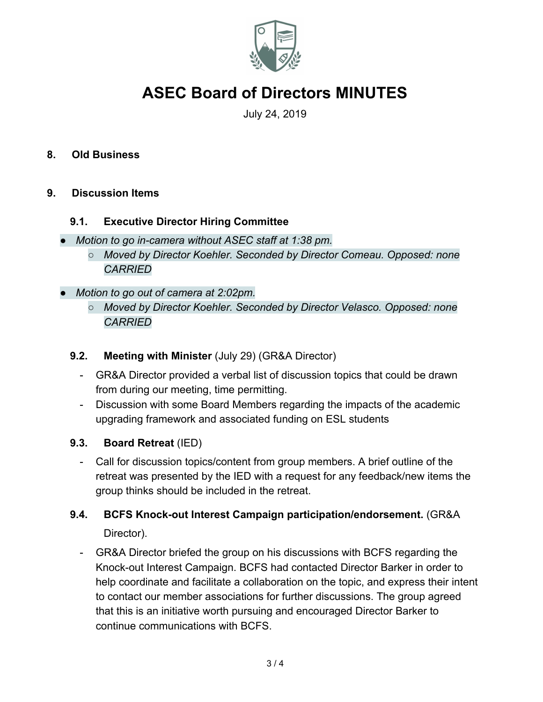

July 24, 2019

#### **8. Old Business**

#### **9. Discussion Items**

#### **9.1. Executive Director Hiring Committee**

- *● Motion to go in-camera without ASEC staff at 1:38 pm.*
	- *○ Moved by Director Koehler. Seconded by Director Comeau. Opposed: none CARRIED*
- *● Motion to go out of camera at 2:02pm.*
	- *○ Moved by Director Koehler. Seconded by Director Velasco. Opposed: none CARRIED*

#### **9.2. Meeting with Minister** (July 29) (GR&A Director)

- GR&A Director provided a verbal list of discussion topics that could be drawn from during our meeting, time permitting.
- Discussion with some Board Members regarding the impacts of the academic upgrading framework and associated funding on ESL students

#### **9.3. Board Retreat** (IED)

- Call for discussion topics/content from group members. A brief outline of the retreat was presented by the IED with a request for any feedback/new items the group thinks should be included in the retreat.

### **9.4. BCFS Knock-out Interest Campaign participation/endorsement.** (GR&A Director).

- GR&A Director briefed the group on his discussions with BCFS regarding the Knock-out Interest Campaign. BCFS had contacted Director Barker in order to help coordinate and facilitate a collaboration on the topic, and express their intent to contact our member associations for further discussions. The group agreed that this is an initiative worth pursuing and encouraged Director Barker to continue communications with BCFS.